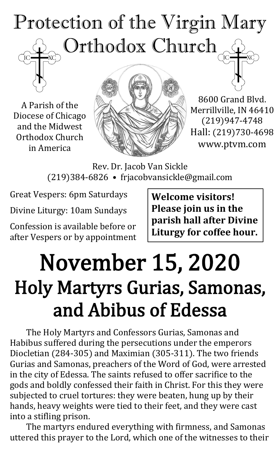# Protection of the Virgin Mary Orthodox Church

A Parish of the Diocese of Chicago and the Midwest Orthodox Church in America



8600 Grand Blvd. Merrillville, IN 46410 (219)947-4748 Hall: (219)730-4698 www.ptvm.com

Rev. Dr. Jacob Van Sickle (219)384-6826 • frjacobvansickle@gmail.com

Great Vespers: 6pm Saturdays

Divine Liturgy: 10am Sundays

Confession is available before or after Vespers or by appointment **Welcome visitors! Please join us in the parish hall after Divine Liturgy for coffee hour.**

# November 15, 2020 Holy Martyrs Gurias, Samonas, and Abibus of Edessa

The Holy Martyrs and Confessors Gurias, Samonas and Habibus suffered during the persecutions under the emperors Diocletian (284-305) and Maximian (305-311). The two friends Gurias and Samonas, preachers of the Word of God, were arrested in the city of Edessa. The saints refused to offer sacrifice to the gods and boldly confessed their faith in Christ. For this they were subjected to cruel tortures: they were beaten, hung up by their hands, heavy weights were tied to their feet, and they were cast into a stifling prison.

The martyrs endured everything with firmness, and Samonas uttered this prayer to the Lord, which one of the witnesses to their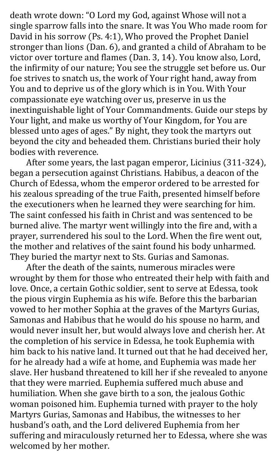death wrote down: "O Lord my God, against Whose will not a single sparrow falls into the snare. It was You Who made room for David in his sorrow (Ps. 4:1), Who proved the Prophet Daniel stronger than lions (Dan. 6), and granted a child of Abraham to be victor over torture and flames (Dan. 3, 14). You know also, Lord, the infirmity of our nature; You see the struggle set before us. Our foe strives to snatch us, the work of Your right hand, away from You and to deprive us of the glory which is in You. With Your compassionate eye watching over us, preserve in us the inextinguishable light of Your Commandments. Guide our steps by Your light, and make us worthy of Your Kingdom, for You are blessed unto ages of ages." By night, they took the martyrs out beyond the city and beheaded them. Christians buried their holy bodies with reverence.

After some years, the last pagan emperor, Licinius (311-324), began a persecution against Christians. Habibus, a deacon of the Church of Edessa, whom the emperor ordered to be arrested for his zealous spreading of the true Faith, presented himself before the executioners when he learned they were searching for him. The saint confessed his faith in Christ and was sentenced to be burned alive. The martyr went willingly into the fire and, with a prayer, surrendered his soul to the Lord. When the fire went out, the mother and relatives of the saint found his body unharmed. They buried the martyr next to Sts. Gurias and Samonas.

After the death of the saints, numerous miracles were wrought by them for those who entreated their help with faith and love. Once, a certain Gothic soldier, sent to serve at Edessa, took the pious virgin Euphemia as his wife. Before this the barbarian vowed to her mother Sophia at the graves of the Martyrs Gurias, Samonas and Habibus that he would do his spouse no harm, and would never insult her, but would always love and cherish her. At the completion of his service in Edessa, he took Euphemia with him back to his native land. It turned out that he had deceived her, for he already had a wife at home, and Euphemia was made her slave. Her husband threatened to kill her if she revealed to anyone that they were married. Euphemia suffered much abuse and humiliation. When she gave birth to a son, the jealous Gothic woman poisoned him. Euphemia turned with prayer to the holy Martyrs Gurias, Samonas and Habibus, the witnesses to her husband's oath, and the Lord delivered Euphemia from her suffering and miraculously returned her to Edessa, where she was welcomed by her mother.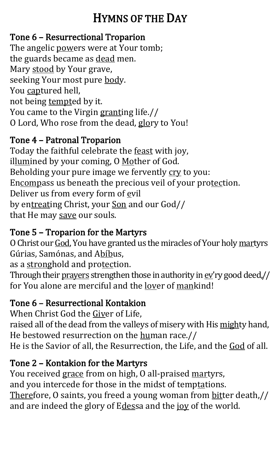# HYMNS OF THE DAY

## Tone 6 – Resurrectional Troparion

The angelic powers were at Your tomb; the guards became as dead men. Mary stood by Your grave, seeking Your most pure body. You captured hell, not being tempted by it. You came to the Virgin granting life.// O Lord, Who rose from the dead, glory to You!

# Tone 4 – Patronal Troparion

Today the faithful celebrate the feast with joy, illumined by your coming, O Mother of God. Beholding your pure image we fervently cry to you: Encompass us beneath the precious veil of your protection. Deliver us from every form of evil by entreating Christ, your Son and our God// that He may save our souls.

# Tone 5 – Troparion for the Martyrs

O Christ our God, You have granted us the miracles of Your holy martyrs Gúrias, Samónas, and Abíbus,

as a stronghold and protection.

Through their prayers strengthen those in authority in ev'ry good deed,// for You alone are merciful and the lover of mankind!

# Tone 6 – Resurrectional Kontakion

When Christ God the Giver of Life, raised all of the dead from the valleys of misery with His mighty hand, He bestowed resurrection on the human race.// He is the Savior of all, the Resurrection, the Life, and the God of all.

# Tone 2 – Kontakion for the Martyrs

You received grace from on high, O all-praised martyrs, and you intercede for those in the midst of temptations. Therefore, O saints, you freed a young woman from bitter death,// and are indeed the glory of Edessa and the joy of the world.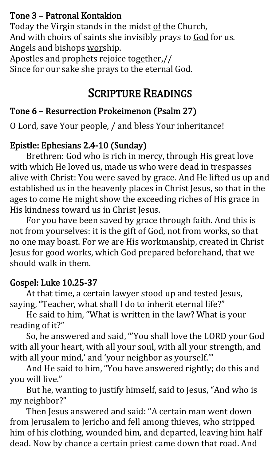#### Tone 3 – Patronal Kontakion

Today the Virgin stands in the midst of the Church, And with choirs of saints she invisibly prays to God for us. Angels and bishops worship.

Apostles and prophets rejoice together,// Since for our sake she prays to the eternal God.

# SCRIPTURE READINGS

# Tone 6 – Resurrection Prokeimenon (Psalm 27)

O Lord, save Your people, / and bless Your inheritance!

# Epistle: Ephesians 2.4-10 (Sunday)

Brethren: God who is rich in mercy, through His great love with which He loved us, made us who were dead in trespasses alive with Christ: You were saved by grace. And He lifted us up and established us in the heavenly places in Christ Jesus, so that in the ages to come He might show the exceeding riches of His grace in His kindness toward us in Christ Jesus.

For you have been saved by grace through faith. And this is not from yourselves: it is the gift of God, not from works, so that no one may boast. For we are His workmanship, created in Christ Jesus for good works, which God prepared beforehand, that we should walk in them.

#### Gospel: Luke 10.25-37

At that time, a certain lawyer stood up and tested Jesus, saying, "Teacher, what shall I do to inherit eternal life?"

He said to him, "What is written in the law? What is your reading of it?"

So, he answered and said, "'You shall love the LORD your God with all your heart, with all your soul, with all your strength, and with all your mind,' and 'your neighbor as yourself.""

And He said to him, "You have answered rightly; do this and you will live."

But he, wanting to justify himself, said to Jesus, "And who is my neighbor?"

Then Jesus answered and said: "A certain man went down from Jerusalem to Jericho and fell among thieves, who stripped him of his clothing, wounded him, and departed, leaving him half dead. Now by chance a certain priest came down that road. And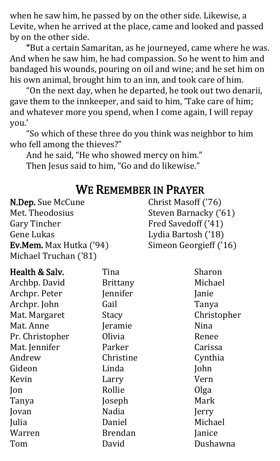when he saw him, he passed by on the other side. Likewise, a Levite, when he arrived at the place, came and looked and passed by on the other side.

"But a certain Samaritan, as he journeyed, came where he was. And when he saw him, he had compassion. So he went to him and bandaged his wounds, pouring on oil and wine; and he set him on his own animal, brought him to an inn, and took care of him.

"On the next day, when he departed, he took out two denarii, gave them to the innkeeper, and said to him, 'Take care of him; and whatever more you spend, when I come again, I will repay you.'

"So which of these three do you think was neighbor to him who fell among the thieves?"

And he said, "He who showed mercy on him." Then Jesus said to him, "Go and do likewise."

# WE REMEMBER IN PRAYER

| N.Dep. Sue McCune       | Christ Masoff ('76)    |
|-------------------------|------------------------|
| Met. Theodosius         | Steven Barnacky ('61)  |
| <b>Gary Tincher</b>     | Fred Savedoff ('41)    |
| Gene Lukas              | Lydia Bartosh ('18)    |
| Ev.Mem. Max Hutka ('94) | Simeon Georgieff ('16) |
| Michael Truchan ('81)   |                        |

| Health & Salv.  | Tina            | Sharon      |
|-----------------|-----------------|-------------|
| Archbp. David   | <b>Brittany</b> | Michael     |
| Archpr. Peter   | Jennifer        | Janie       |
| Archpr. John    | Gail            | Tanya       |
| Mat. Margaret   | Stacy           | Christopher |
| Mat. Anne       | Jeramie         | Nina        |
| Pr. Christopher | Olivia          | Renee       |
| Mat. Jennifer   | Parker          | Carissa     |
| Andrew          | Christine       | Cynthia     |
| Gideon          | Linda           | John        |
| Kevin           | Larry           | Vern        |
| Jon             | Rollie          | Olga        |
| Tanya           | Joseph          | Mark        |
| Jovan           | <b>Nadia</b>    | Jerry       |
| Julia           | Daniel          | Michael     |
| Warren          | <b>Brendan</b>  | Janice      |
| Tom             | David           | Dushawna    |
|                 |                 |             |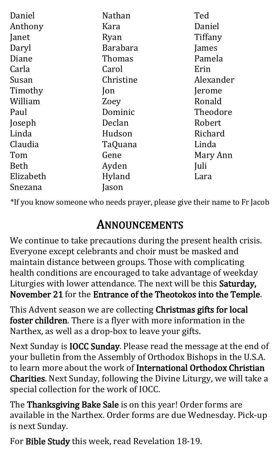| Daniel    | <b>Nathan</b>   | Ted       |
|-----------|-----------------|-----------|
| Anthony   | Kara            | Daniel    |
| Janet     | Ryan            | Tiffany   |
| Daryl     | <b>Barabara</b> | James     |
| Diane     | Thomas          | Pamela    |
| Carla     | Carol           | Erin      |
| Susan     | Christine       | Alexander |
| Timothy   | Jon             | Jerome    |
| William   | Zoey            | Ronald    |
| Paul      | Dominic         | Theodore  |
| Joseph    | Declan          | Robert    |
| Linda     | Hudson          | Richard   |
| Claudia   | TaQuana         | Linda     |
| Tom       | Gene            | Mary Ann  |
| Beth      | Ayden           | Juli      |
| Elizabeth | Hyland          | Lara      |
| Snezana   | Jason           |           |

\*If you know someone who needs prayer, please give their name to Fr Jacob

# ANNOUNCEMENTS

We continue to take precautions during the present health crisis. Everyone except celebrants and choir must be masked and maintain distance between groups. Those with complicating health conditions are encouraged to take advantage of weekday Liturgies with lower attendance. The next will be this Saturday, November 21 for the Entrance of the Theotokos into the Temple.

This Advent season we are collecting Christmas gifts for local foster children. There is a flyer with more information in the Narthex, as well as a drop-box to leave your gifts.

Next Sunday is IOCC Sunday. Please read the message at the end of your bulletin from the Assembly of Orthodox Bishops in the U.S.A. to learn more about the work of International Orthodox Christian Charities. Next Sunday, following the Divine Liturgy, we will take a special collection for the work of IOCC.

The Thanksgiving Bake Sale is on this year! Order forms are available in the Narthex. Order forms are due Wednesday. Pick-up is next Sunday.

For Bible Study this week, read Revelation 18-19.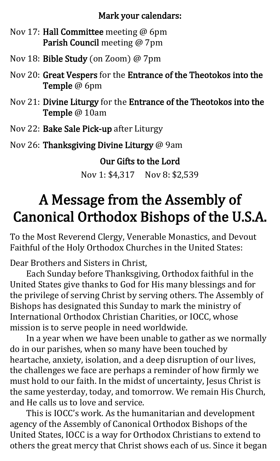#### Mark your calendars:

- Nov 17: Hall Committee meeting @ 6pm Parish Council meeting @ 7pm
- Nov 18: Bible Study (on Zoom) @ 7pm
- Nov 20: Great Vespers for the Entrance of the Theotokos into the Temple @ 6pm
- Nov 21: Divine Liturgy for the Entrance of the Theotokos into the Temple @ 10am
- Nov 22: Bake Sale Pick-up after Liturgy
- Nov 26: Thanksgiving Divine Liturgy @ 9am

Our Gifts to the Lord

Nov 1: \$4,317 Nov 8: \$2,539

# A Message from the Assembly of Canonical Orthodox Bishops of the U.S.A.

To the Most Reverend Clergy, Venerable Monastics, and Devout Faithful of the Holy Orthodox Churches in the United States:

Dear Brothers and Sisters in Christ,

Each Sunday before Thanksgiving, Orthodox faithful in the United States give thanks to God for His many blessings and for the privilege of serving Christ by serving others. The Assembly of Bishops has designated this Sunday to mark the ministry of International Orthodox Christian Charities, or IOCC, whose mission is to serve people in need worldwide.

In a year when we have been unable to gather as we normally do in our parishes, when so many have been touched by heartache, anxiety, isolation, and a deep disruption of our lives, the challenges we face are perhaps a reminder of how firmly we must hold to our faith. In the midst of uncertainty, Jesus Christ is the same yesterday, today, and tomorrow. We remain His Church, and He calls us to love and service.

This is IOCC's work. As the humanitarian and development agency of the Assembly of Canonical Orthodox Bishops of the United States, IOCC is a way for Orthodox Christians to extend to others the great mercy that Christ shows each of us. Since it began